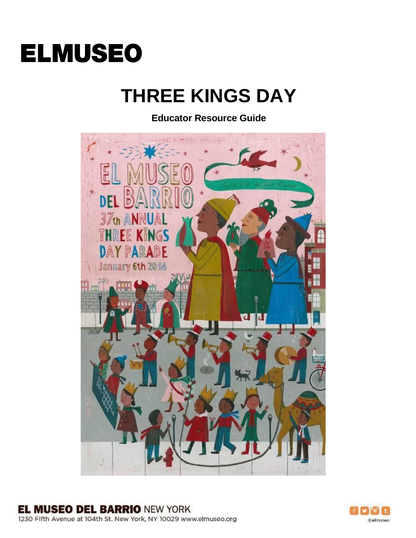

# **THREE KINGS DAY**

**Educator Resource Guide**



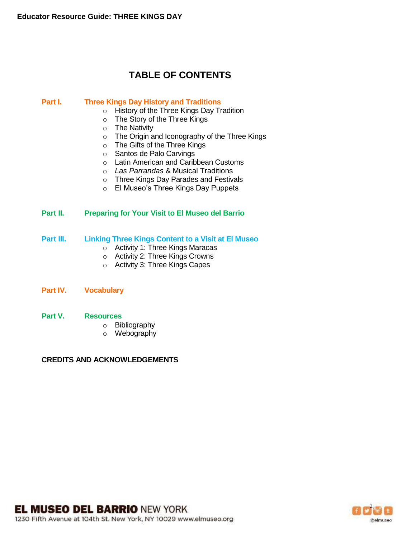# **TABLE OF CONTENTS**

#### **Part I. Three Kings Day History and Traditions**

- o History of the Three Kings Day Tradition
- o The Story of the Three Kings
- o The Nativity
- o The Origin and Iconography of the Three Kings
- o The Gifts of the Three Kings
- o Santos de Palo Carvings
- o Latin American and Caribbean Customs
- o *Las Parrandas* & Musical Traditions
- o Three Kings Day Parades and Festivals
- o El Museo's Three Kings Day Puppets

#### **Part II. Preparing for Your Visit to El Museo del Barrio**

#### **Part III. Linking Three Kings Content to a Visit at El Museo**

- o Activity 1: Three Kings Maracas
- o Activity 2: Three Kings Crowns
- o Activity 3: Three Kings Capes
- **Part IV. Vocabulary**

#### **Part V. Resources**

- o Bibliography
- o Webography

#### **CREDITS AND ACKNOWLEDGEMENTS**

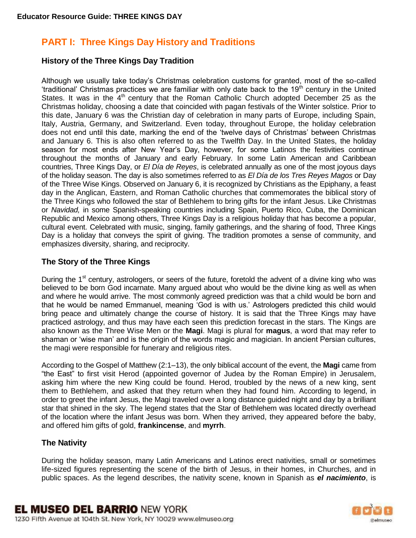# **PART I: Three Kings Day History and Traditions**

## **History of the Three Kings Day Tradition**

Although we usually take today's Christmas celebration customs for granted, most of the so-called 'traditional' Christmas practices we are familiar with only date back to the  $19<sup>th</sup>$  century in the United States. It was in the  $4<sup>th</sup>$  century that the Roman Catholic Church adopted December 25 as the Christmas holiday, choosing a date that coincided with pagan festivals of the Winter solstice. Prior to this date, January 6 was the Christian day of celebration in many parts of Europe, including Spain, Italy, Austria, Germany, and Switzerland. Even today, throughout Europe, the holiday celebration does not end until this date, marking the end of the 'twelve days of Christmas' between Christmas and January 6. This is also often referred to as the Twelfth Day. In the United States, the holiday season for most ends after New Year's Day, however, for some Latinos the festivities continue throughout the months of January and early February. In some Latin American and Caribbean countries, Three Kings Day, or *El Día de Reyes*, is celebrated annually as one of the most joyous days of the holiday season. The day is also sometimes referred to as *El Día de los Tres Reyes Magos* or Day of the Three Wise Kings. Observed on January 6, it is recognized by Christians as the Epiphany, a feast day in the Anglican, Eastern, and Roman Catholic churches that commemorates the biblical story of the Three Kings who followed the star of Bethlehem to bring gifts for the infant Jesus. Like Christmas or *Navidad,* in some Spanish-speaking countries including Spain, Puerto Rico, Cuba, the Dominican Republic and Mexico among others, Three Kings Day is a religious holiday that has become a popular, cultural event. Celebrated with music, singing, family gatherings, and the sharing of food, Three Kings Day is a holiday that conveys the spirit of giving. The tradition promotes a sense of community, and emphasizes diversity, sharing, and reciprocity.

# **The Story of the Three Kings**

During the 1<sup>st</sup> century, astrologers, or seers of the future, foretold the advent of a divine king who was believed to be born God incarnate. Many argued about who would be the divine king as well as when and where he would arrive. The most commonly agreed prediction was that a child would be born and that he would be named Emmanuel, meaning 'God is with us.' Astrologers predicted this child would bring peace and ultimately change the course of history. It is said that the Three Kings may have practiced astrology, and thus may have each seen this prediction forecast in the stars. The Kings are also known as the Three Wise Men or the **Magi**. Magi is plural for **magus**, a word that may refer to shaman or 'wise man' and is the origin of the words magic and magician. In ancient Persian cultures, the magi were responsible for funerary and religious rites.

According to the Gospel of Matthew (2:1–13), the only biblical account of the event, the **Magi** came from "the East" to first visit [Herod](http://en.wikipedia.org/wiki/Herod_the_Great) (appointed governor of [Judea](http://en.wikipedia.org/wiki/Judea) by the [Roman Empire\)](http://en.wikipedia.org/wiki/Roman_Empire) in Jerusalem, asking him where the new King could be found. Herod, troubled by the news of a new king, sent them to Bethlehem, and asked that they return when they had found him. According to legend, in order to greet the infant Jesus, the Magi traveled over a long distance guided night and day by a brilliant star that shined in the sky. The legend states that the Star of Bethlehem was located directly overhead of the location where the infant Jesus was born. When they arrived, they appeared before the baby, and offered him gifts of [gold,](http://en.wikipedia.org/wiki/Gold) **[frankincense](http://en.wikipedia.org/wiki/Frankincense)**, and **myrrh**.

# **The Nativity**

During the holiday season, many Latin Americans and Latinos erect nativities, small or sometimes life-sized figures representing the scene of the birth of Jesus, in their homes, in Churches, and in public spaces. As the legend describes, the nativity scene, known in Spanish as *el nacimiento*, is

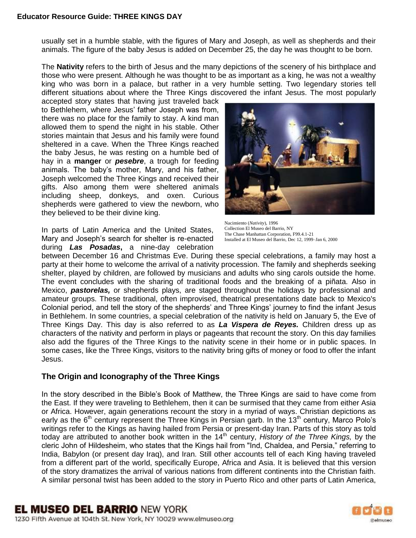usually set in a humble stable, with the figures of Mary and Joseph, as well as shepherds and their animals. The figure of the baby Jesus is added on December 25, the day he was thought to be born.

The **Nativity** refers to the birth of Jesus and the many depictions of the scenery of his birthplace and those who were present. Although he was thought to be as important as a king, he was not a wealthy king who was born in a palace, but rather in a very humble setting. Two legendary stories tell different situations about where the Three Kings discovered the infant Jesus. The most popularly

accepted story states that having just traveled back to Bethlehem, where Jesus' father Joseph was from, there was no place for the family to stay. A kind man allowed them to spend the night in his stable. Other stories maintain that Jesus and his family were found sheltered in a cave. When the Three Kings reached the baby Jesus, he was resting on a humble bed of hay in a **manger** or *pesebre*, a trough for feeding animals. The baby's mother, Mary, and his father, Joseph welcomed the Three Kings and received their gifts. Also among them were sheltered animals including sheep, donkeys, and oxen. Curious shepherds were gathered to view the newborn, who they believed to be their divine king.

In parts of Latin America and the United States, Mary and Joseph's search for shelter is re-enacted during *Las Posadas***,** a nine-day celebration



Nacimiento (*Nativity*), 1996 Collection El Museo del Barrio, NY The Chase Manhattan Corporation, F99.4.1-21 Installed at El Museo del Barrio, Dec 12, 1999–Jan 6, 2000

between December 16 and Christmas Eve. During these special celebrations, a family may host a party at their home to welcome the arrival of a nativity procession. The family and shepherds seeking shelter, played by children, are followed by musicians and adults who sing carols outside the home. The event concludes with the sharing of traditional foods and the breaking of a piñata. Also in Mexico, *pastorelas,* or shepherds plays, are staged throughout the holidays by professional and amateur groups. These traditional, often improvised, theatrical presentations date back to Mexico's Colonial period, and tell the story of the shepherds' and Three Kings' journey to find the infant Jesus in Bethlehem. In some countries, a special celebration of the nativity is held on January 5, the Eve of Three Kings Day. This day is also referred to as *La Vispera de Reyes.* Children dress up as characters of the nativity and perform in plays or pageants that recount the story. On this day families also add the figures of the Three Kings to the nativity scene in their home or in public spaces. In some cases, like the Three Kings, visitors to the nativity bring gifts of money or food to offer the infant Jesus.

## **The Origin and Iconography of the Three Kings**

In the story described in the Bible's Book of Matthew, the Three Kings are said to have come from the East. If they were traveling to Bethlehem, then it can be surmised that they came from either Asia or Africa. However, again generations recount the story in a myriad of ways. Christian depictions as early as the  $6<sup>th</sup>$  century represent the Three Kings in Persian garb. In the 13<sup>th</sup> century, Marco Polo's writings refer to the Kings as having hailed from Persia or present-day Iran. Parts of this story as told today are attributed to another book written in the 14<sup>th</sup> century, *History of the Three Kings*, by the cleric John of Hildesheim, who states that the Kings hail from "Ind, Chaldea, and Persia," referring to India, Babylon (or present day Iraq), and Iran. Still other accounts tell of each King having traveled from a different part of the world, specifically Europe, Africa and Asia. It is believed that this version of the story dramatizes the arrival of various nations from different continents into the Christian faith. A similar personal twist has been added to the story in Puerto Rico and other parts of Latin America,

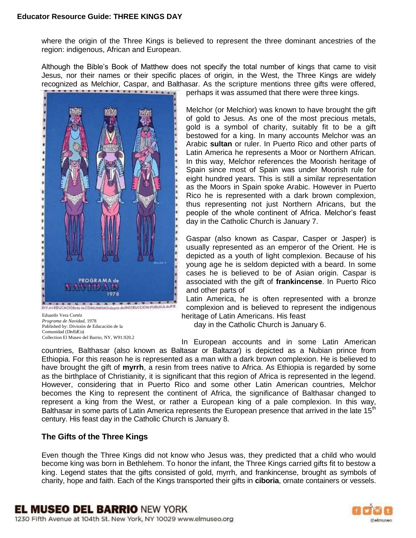where the origin of the Three Kings is believed to represent the three dominant ancestries of the region: indigenous, African and European.

Although the Bible's Book of Matthew does not specify the total number of kings that came to visit Jesus, nor their names or their specific places of origin, in the West, the Three Kings are widely recognized as Melchior, Caspar, and Balthasar. As the scripture mentions three gifts were offered,<br>nerhans it was assumed that there were three kings.



Eduardo Vera Cortéz *Programa de Navidad,* 1978 Published by: División de Educación de la Comunidad (DivEdCo) Collection El Museo del Barrio, NY, W91.920.2 perhaps it was assumed that there were three kings.

Melchor (or Melchior) was known to have brought the gift of gold to Jesus. As one of the most precious metals, gold is a symbol of charity, suitably fit to be a gift bestowed for a king. In many accounts Melchor was an Arabic **sultan** or ruler. In Puerto Rico and other parts of Latin America he represents a Moor or Northern African. In this way, Melchor references the Moorish heritage of Spain since most of Spain was under Moorish rule for eight hundred years. This is still a similar representation as the Moors in Spain spoke Arabic. However in Puerto Rico he is represented with a dark brown complexion, thus representing not just Northern Africans, but the people of the whole continent of Africa. Melchor's feast day in the Catholic Church is January 7.

Gaspar (also known as Caspar, Casper or Jasper) is usually represented as an emperor of the Orient. He is depicted as a youth of light complexion. Because of his young age he is seldom depicted with a beard. In some cases he is believed to be of Asian origin. Caspar is associated with the gift of **frankincense**. In Puerto Rico and other parts of

Latin America, he is often represented with a bronze complexion and is believed to represent the indigenous heritage of Latin Americans. His feast

day in the Catholic Church is January 6.

In European accounts and in some Latin American countries, Balthasar (also known as Baltasar or Baltazar) is depicted as a Nubian prince from Ethiopia. For this reason he is represented as a man with a dark brown complexion. He is believed to have brought the gift of **myrrh**, a resin from trees native to Africa. As Ethiopia is regarded by some as the birthplace of Christianity, it is significant that this region of Africa is represented in the legend. However, considering that in Puerto Rico and some other Latin American countries, Melchor becomes the King to represent the continent of Africa, the significance of Balthasar changed to represent a king from the West, or rather a European king of a pale complexion. In this way, Balthasar in some parts of Latin America represents the European presence that arrived in the late 15<sup>th</sup> century. His feast day in the Catholic Church is January 8.

# **The Gifts of the Three Kings**

Even though the Three Kings did not know who Jesus was, they predicted that a child who would become king was born in Bethlehem. To honor the infant, the Three Kings carried gifts fit to bestow a king. Legend states that the gifts consisted of gold, myrrh, and frankincense, brought as symbols of charity, hope and faith. Each of the Kings transported their gifts in **ciboria**, ornate containers or vessels.

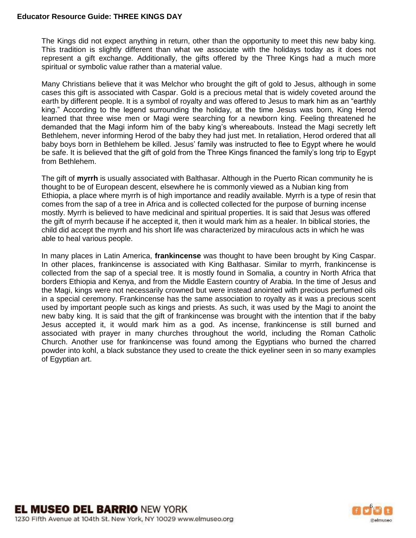The Kings did not expect anything in return, other than the opportunity to meet this new baby king. This tradition is slightly different than what we associate with the holidays today as it does not represent a gift exchange. Additionally, the gifts offered by the Three Kings had a much more spiritual or symbolic value rather than a material value.

Many Christians believe that it was Melchor who brought the gift of gold to Jesus, although in some cases this gift is associated with Caspar. Gold is a precious metal that is widely coveted around the earth by different people. It is a symbol of royalty and was offered to Jesus to mark him as an "earthly king." According to the legend surrounding the holiday, at the time Jesus was born, King Herod learned that three wise men or Magi were searching for a newborn king. Feeling threatened he demanded that the Magi inform him of the baby king's whereabouts. Instead the Magi secretly left Bethlehem, never informing Herod of the baby they had just met. In retaliation, Herod ordered that all baby boys born in Bethlehem be killed. Jesus' family was instructed to flee to Egypt where he would be safe. It is believed that the gift of gold from the Three Kings financed the family's long trip to Egypt from Bethlehem.

The gift of **myrrh** is usually associated with Balthasar. Although in the Puerto Rican community he is thought to be of European descent, elsewhere he is commonly viewed as a Nubian king from Ethiopia, a place where myrrh is of high importance and readily available. Myrrh is a type of resin that comes from the sap of a tree in Africa and is collected collected for the purpose of burning incense mostly. Myrrh is believed to have medicinal and spiritual properties. It is said that Jesus was offered the gift of myrrh because if he accepted it, then it would mark him as a healer. In biblical stories, the child did accept the myrrh and his short life was characterized by miraculous acts in which he was able to heal various people.

In many places in Latin America, **frankincense** was thought to have been brought by King Caspar. In other places, frankincense is associated with King Balthasar. Similar to myrrh, frankincense is collected from the sap of a special tree. It is mostly found in Somalia, a country in North Africa that borders Ethiopia and Kenya, and from the Middle Eastern country of Arabia. In the time of Jesus and the Magi, kings were not necessarily crowned but were instead anointed with precious perfumed oils in a special ceremony. Frankincense has the same association to royalty as it was a precious scent used by important people such as kings and priests. As such, it was used by the Magi to anoint the new baby king. It is said that the gift of frankincense was brought with the intention that if the baby Jesus accepted it, it would mark him as a god. As incense, frankincense is still burned and associated with prayer in many churches throughout the world, including the Roman Catholic Church. Another use for frankincense was found among the Egyptians who burned the charred powder into kohl, a black substance they used to create the thick eyeliner seen in so many examples of Egyptian art.

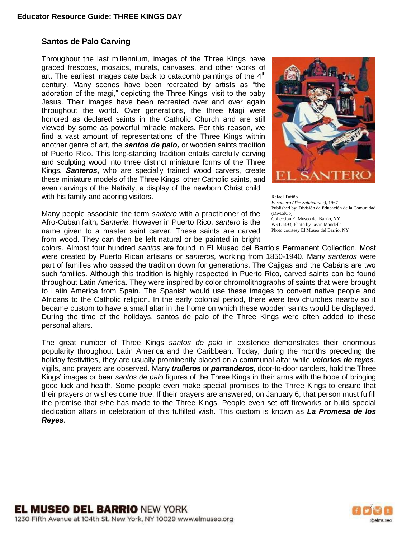## **Santos de Palo Carving**

Throughout the last millennium, images of the Three Kings have graced frescoes, mosaics, murals, canvases, and other works of art. The earliest images date back to catacomb paintings of the  $4<sup>th</sup>$ century. Many scenes have been recreated by artists as "the adoration of the magi," depicting the Three Kings' visit to the baby Jesus. Their images have been recreated over and over again throughout the world. Over generations, the three Magi were honored as declared saints in the Catholic Church and are still viewed by some as powerful miracle makers. For this reason, we find a vast amount of representations of the Three Kings within another genre of art, the *santos de palo,* or wooden saints tradition of Puerto Rico. This long-standing tradition entails carefully carving and sculpting wood into three distinct miniature forms of the Three Kings. *Santeros***,** who are specially trained wood carvers, create these miniature models of the Three Kings, other Catholic saints, and even carvings of the Nativity, a display of the newborn Christ child with his family and adoring visitors.

Many people associate the term *santero* with a practitioner of the Afro-Cuban faith, *Santeria*. However in Puerto Rico, *santero* is the name given to a master saint carver. These saints are carved from wood. They can then be left natural or be painted in bright



Rafael Tufiño *El santero (The Saintcarver)*, 1967 Published by: División de Educación de la Comunidad (DivEdCo) Collection El Museo del Barrio, NY, W91.1493, Photo by Jason Mandella Photo courtesy El Museo del Barrio, NY

colors. Almost four hundred *santos* are found in El Museo del Barrio's Permanent Collection. Most were created by Puerto Rican artisans or *santeros,* working from 1850-1940. Many *santeros* were part of families who passed the tradition down for generations. The Cajigas and the Cabáns are two such families. Although this tradition is highly respected in Puerto Rico, carved saints can be found throughout Latin America. They were inspired by color chromolithographs of saints that were brought to Latin America from Spain. The Spanish would use these images to convert native people and Africans to the Catholic religion. In the early colonial period, there were few churches nearby so it became custom to have a small altar in the home on which these wooden saints would be displayed. During the time of the holidays, santos de palo of the Three Kings were often added to these personal altars.

The great number of Three Kings *santos de palo* in existence demonstrates their enormous popularity throughout Latin America and the Caribbean. Today, during the months preceding the holiday festivities, they are usually prominently placed on a communal altar while *velorios de reyes*, vigils, and prayers are observed. Many *trulleros* or *parranderos*, door-to-door carolers, hold the Three Kings' images or bear *santos de palo* figures of the Three Kings in their arms with the hope of bringing good luck and health. Some people even make special promises to the Three Kings to ensure that their prayers or wishes come true. If their prayers are answered, on January 6, that person must fulfill the promise that s/he has made to the Three Kings. People even set off fireworks or build special dedication altars in celebration of this fulfilled wish. This custom is known as *La Promesa de los Reyes*.

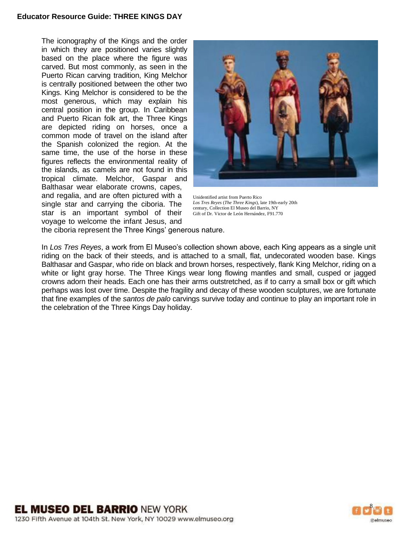The iconography of the Kings and the order in which they are positioned varies slightly based on the place where the figure was carved. But most commonly, as seen in the Puerto Rican carving tradition, King Melchor is centrally positioned between the other two Kings. King Melchor is considered to be the most generous, which may explain his central position in the group. In Caribbean and Puerto Rican folk art, the Three Kings are depicted riding on horses, once a common mode of travel on the island after the Spanish colonized the region. At the same time, the use of the horse in these figures reflects the environmental reality of the islands, as camels are not found in this tropical climate. Melchor, Gaspar and Balthasar wear elaborate crowns, capes, and regalia, and are often pictured with a single star and carrying the ciboria. The star is an important symbol of their voyage to welcome the infant Jesus, and



Unidentified artist from Puerto Rico *Los Tres Reyes* (*The Three Kings*), late 19th-early 20th century, Collection El Museo del Barrio, NY Gift of Dr. Victor de León Hernández, F91.770

the ciboria represent the Three Kings' generous nature.

In *Los Tres Reyes*, a work from El Museo's collection shown above, each King appears as a single unit riding on the back of their steeds, and is attached to a small, flat, undecorated wooden base. Kings Balthasar and Gaspar, who ride on black and brown horses, respectively, flank King Melchor, riding on a white or light gray horse. The Three Kings wear long flowing mantles and small, cusped or jagged crowns adorn their heads. Each one has their arms outstretched, as if to carry a small box or gift which perhaps was lost over time. Despite the fragility and decay of these wooden sculptures, we are fortunate that fine examples of the *santos de palo* carvings survive today and continue to play an important role in the celebration of the Three Kings Day holiday.

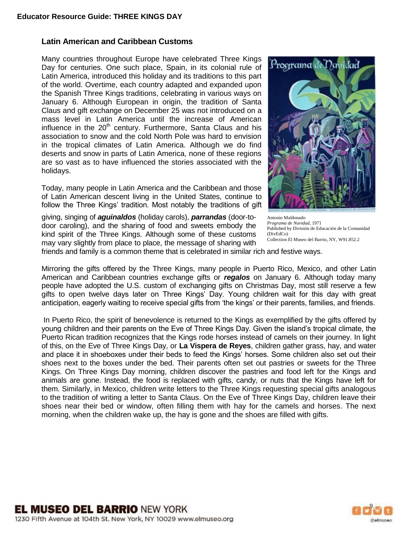## **Latin American and Caribbean Customs**

Many countries throughout Europe have celebrated Three Kings Day for centuries. One such place, Spain, in its colonial rule of Latin America, introduced this holiday and its traditions to this part of the world. Overtime, each country adapted and expanded upon the Spanish Three Kings traditions, celebrating in various ways on January 6. Although European in origin, the tradition of Santa Claus and gift exchange on December 25 was not introduced on a mass level in Latin America until the increase of American influence in the 20<sup>th</sup> century. Furthermore, Santa Claus and his association to snow and the cold North Pole was hard to envision in the tropical climates of Latin America. Although we do find deserts and snow in parts of Latin America, none of these regions are so vast as to have influenced the stories associated with the holidays.

Today, many people in Latin America and the Caribbean and those of Latin American descent living in the United States, continue to follow the Three Kings' tradition. Most notably the traditions of gift

giving, singing of *aguinaldos* (holiday carols), *parrandas* (door-todoor caroling), and the sharing of food and sweets embody the kind spirit of the Three Kings. Although some of these customs may vary slightly from place to place, the message of sharing with



Antonio Maldonado *Programa de Navidad*, 1971 Published by División de Educación de la Comunidad (DivEdCo) Collection El Museo del Barrio, NY, W91.852.2

friends and family is a common theme that is celebrated in similar rich and festive ways.

Mirroring the gifts offered by the Three Kings, many people in Puerto Rico, Mexico, and other Latin American and Caribbean countries exchange gifts or *regalos* on January 6. Although today many people have adopted the U.S. custom of exchanging gifts on Christmas Day, most still reserve a few gifts to open twelve days later on Three Kings' Day. Young children wait for this day with great anticipation, eagerly waiting to receive special gifts from 'the kings' or their parents, families, and friends.

In Puerto Rico, the spirit of benevolence is returned to the Kings as exemplified by the gifts offered by young children and their parents on the Eve of Three Kings Day. Given the island's tropical climate, the Puerto Rican tradition recognizes that the Kings rode horses instead of camels on their journey. In light of this, on the Eve of Three Kings Day, or **La Vispera de Reyes**, children gather grass, hay, and water and place it in shoeboxes under their beds to feed the Kings' horses. Some children also set out their shoes next to the boxes under the bed. Their parents often set out pastries or sweets for the Three Kings. On Three Kings Day morning, children discover the pastries and food left for the Kings and animals are gone. Instead, the food is replaced with gifts, candy, or nuts that the Kings have left for them. Similarly, in Mexico, children write letters to the Three Kings requesting special gifts analogous to the tradition of writing a letter to Santa Claus. On the Eve of Three Kings Day, children leave their shoes near their bed or window, often filling them with hay for the camels and horses. The next morning, when the children wake up, the hay is gone and the shoes are filled with gifts.

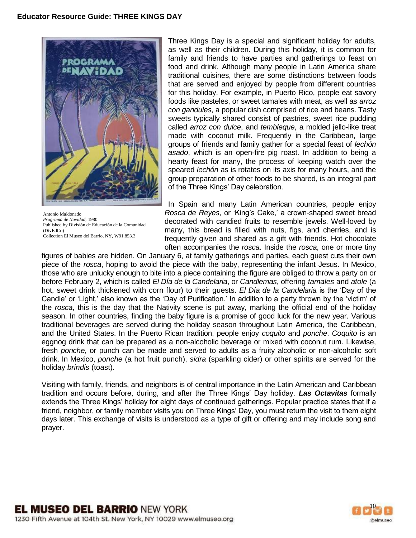

Antonio Maldonado *Programa de Navidad*, 1980 Published by División de Educación de la Comunidad (DivEdCo) Collection El Museo del Barrio, NY, W91.853.3

Three Kings Day is a special and significant holiday for adults, as well as their children. During this holiday, it is common for family and friends to have parties and gatherings to feast on food and drink. Although many people in Latin America share traditional cuisines, there are some distinctions between foods that are served and enjoyed by people from different countries for this holiday. For example, in Puerto Rico, people eat savory foods like pasteles, or sweet tamales with meat, as well as *arroz con gandules*, a popular dish comprised of rice and beans. Tasty sweets typically shared consist of pastries, sweet rice pudding called *arroz con dulce*, and *tembleque*, a molded jello-like treat made with coconut milk. Frequently in the Caribbean, large groups of friends and family gather for a special feast of *lechón asado*, which is an open-fire pig roast. In addition to being a hearty feast for many, the process of keeping watch over the speared *lechón* as is rotates on its axis for many hours, and the group preparation of other foods to be shared, is an integral part of the Three Kings' Day celebration.

In Spain and many Latin American countries, people enjoy *Rosca de Reyes*, or 'King's Cake,' a crown-shaped sweet bread decorated with candied fruits to resemble jewels. Well-loved by many, this bread is filled with nuts, figs, and cherries, and is frequently given and shared as a gift with friends. Hot chocolate often accompanies the *rosca*. Inside the *rosca*, one or more tiny

figures of babies are hidden. On January 6, at family gatherings and parties, each guest cuts their own piece of the *rosca*, hoping to avoid the piece with the baby, representing the infant Jesus. In Mexico, those who are unlucky enough to bite into a piece containing the figure are obliged to throw a party on or before February 2, which is called *El Día de la Candelaria*, or *Candlemas*, offering *tamales* and *atole* (a hot, sweet drink thickened with corn flour) to their guests. *El Día de la Candelaria* is the 'Day of the Candle' or 'Light,' also known as the 'Day of Purification.' In addition to a party thrown by the 'victim' of the *rosca*, this is the day that the Nativity scene is put away, marking the official end of the holiday season. In other countries, finding the baby figure is a promise of good luck for the new year. Various traditional beverages are served during the holiday season throughout Latin America, the Caribbean, and the United States. In the Puerto Rican tradition, people enjoy *coquito* and *ponche*. *Coquito* is an eggnog drink that can be prepared as a non-alcoholic beverage or mixed with coconut rum. Likewise, fresh *ponche*, or punch can be made and served to adults as a fruity alcoholic or non-alcoholic soft drink. In Mexico, *ponche* (a hot fruit punch), *sidra* (sparkling cider) or other spirits are served for the holiday *brindis* (toast).

Visiting with family, friends, and neighbors is of central importance in the Latin American and Caribbean tradition and occurs before, during, and after the Three Kings' Day holiday. *Las Octavitas* formally extends the Three Kings' holiday for eight days of continued gatherings. Popular practice states that if a friend, neighbor, or family member visits you on Three Kings' Day, you must return the visit to them eight days later. This exchange of visits is understood as a type of gift or offering and may include song and prayer.

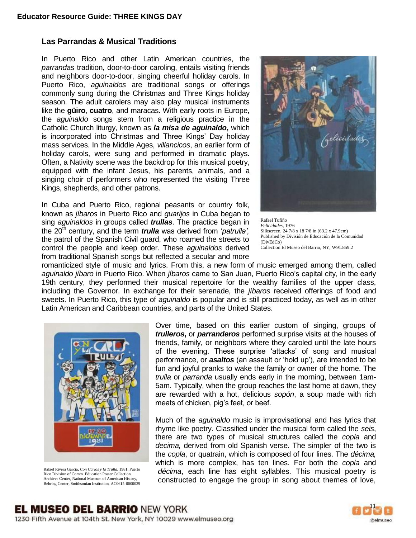## **Las Parrandas & Musical Traditions**

In Puerto Rico and other Latin American countries, the *parrandas* tradition, door-to-door caroling, entails visiting friends and neighbors door-to-door, singing cheerful holiday carols. In Puerto Rico, *aguinaldos* are traditional songs or offerings commonly sung during the Christmas and Three Kings holiday season. The adult carolers may also play musical instruments like the **güiro**, **cuatro**, and maracas. With early roots in Europe, the *aguinaldo* songs stem from a religious practice in the Catholic Church liturgy, known as *la misa de aguinaldo***,** which is incorporated into Christmas and Three Kings' Day holiday mass services. In the Middle Ages, *villancicos*, an earlier form of holiday carols, were sung and performed in dramatic plays. Often, a Nativity scene was the backdrop for this musical poetry, equipped with the infant Jesus, his parents, animals, and a singing choir of performers who represented the visiting Three Kings, shepherds, and other patrons.

In Cuba and Puerto Rico, regional peasants or country folk, known as *jíbaros* in Puerto Rico and *guarijos* in Cuba began to sing *aguinaldos* in groups called *trullas*. The practice began in the 20<sup>th</sup> century, and the term *trulla* was derived from '*patrulla'*, the patrol of the Spanish Civil guard, who roamed the streets to control the people and keep order. These *aguinaldos* derived from traditional Spanish songs but reflected a secular and more



Rafael Tufiño *Felicidades*, 1976 Silkscreen, 24 7/8 x 18 7/8 in (63.2 x 47.9cm) Published by División de Educación de la Comunidad (DivEdCo) Collection El Museo del Barrio, NY, W91.859.2

romanticized style of music and lyrics. From this, a new form of music emerged among them, called *aguinaldo jíbaro* in Puerto Rico. When *jíbaros* came to San Juan, Puerto Rico's capital city, in the early 19th century, they performed their musical repertoire for the wealthy families of the upper class, including the Governor. In exchange for their serenade, the *jíbaros* received offerings of food and sweets. In Puerto Rico, this type of *aguinaldo* is popular and is still practiced today, as well as in other Latin American and Caribbean countries, and parts of the United States.



Rafael Rivera Garcia, *Con Carlos y la Trulla*, 1981, Puerto Rico Division of Comm. Education Poster Collection, Archives Center, National Museum of American History, Behring Center, Smithsonian Institution, AC0615-0000029 Over time, based on this earlier custom of singing, groups of *trulleros***,** or *parranderos* performed surprise visits at the houses of friends, family, or neighbors where they caroled until the late hours of the evening. These surprise 'attacks' of song and musical performance, or *asaltos* (an assault or 'hold up'), are intended to be fun and joyful pranks to wake the family or owner of the home. The *trulla* or *parranda* usually ends early in the morning, between 1am-5am. Typically, when the group reaches the last home at dawn, they are rewarded with a hot, delicious *sopón*, a soup made with rich meats of chicken, pig's feet, or beef.

Much of the *aguinaldo* music is improvisational and has lyrics that rhyme like poetry. Classified under the musical form called the *seis*, there are two types of musical structures called the *copla* and *decima,* derived from old Spanish verse. The simpler of the two is the *copla*, or quatrain, which is composed of four lines. The *décima,* which is more complex, has ten lines. For both the *copla* and *décima*, each line has eight syllables. This musical poetry is constructed to engage the group in song about themes of love,

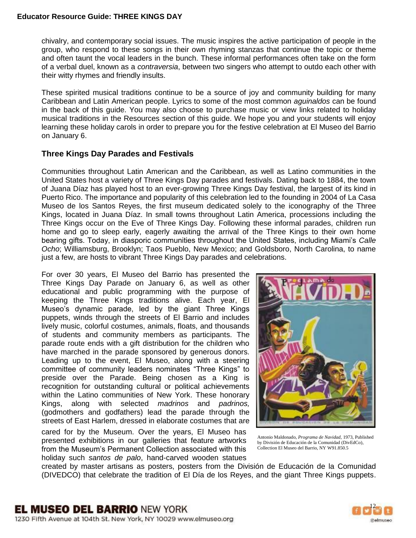chivalry, and contemporary social issues. The music inspires the active participation of people in the group, who respond to these songs in their own rhyming stanzas that continue the topic or theme and often taunt the vocal leaders in the bunch. These informal performances often take on the form of a verbal duel, known as a *contraversia*, between two singers who attempt to outdo each other with their witty rhymes and friendly insults.

These spirited musical traditions continue to be a source of joy and community building for many Caribbean and Latin American people. Lyrics to some of the most common *aguinaldos* can be found in the back of this guide. You may also choose to purchase music or view links related to holiday musical traditions in the Resources section of this guide. We hope you and your students will enjoy learning these holiday carols in order to prepare you for the festive celebration at El Museo del Barrio on January 6.

# **Three Kings Day Parades and Festivals**

Communities throughout Latin American and the Caribbean, as well as Latino communities in the United States host a variety of Three Kings Day parades and festivals. Dating back to 1884, the town of Juana Díaz has played host to an ever-growing Three Kings Day festival, the largest of its kind in Puerto Rico. The importance and popularity of this celebration led to the founding in 2004 of La Casa Museo de los Santos Reyes, the first museum dedicated solely to the iconography of the Three Kings, located in Juana Díaz. In small towns throughout Latin America, processions including the Three Kings occur on the Eve of Three Kings Day. Following these informal parades, children run home and go to sleep early, eagerly awaiting the arrival of the Three Kings to their own home bearing gifts. Today, in diasporic communities throughout the United States, including Miami's *Calle Ocho*; Williamsburg, Brooklyn; Taos Pueblo, New Mexico; and Goldsboro, North Carolina, to name just a few, are hosts to vibrant Three Kings Day parades and celebrations.

For over 30 years, El Museo del Barrio has presented the Three Kings Day Parade on January 6, as well as other educational and public programming with the purpose of keeping the Three Kings traditions alive. Each year, El Museo's dynamic parade, led by the giant Three Kings puppets, winds through the streets of El Barrio and includes lively music, colorful costumes, animals, floats, and thousands of students and community members as participants. The parade route ends with a gift distribution for the children who have marched in the parade sponsored by generous donors. Leading up to the event, El Museo, along with a steering committee of community leaders nominates "Three Kings" to preside over the Parade. Being chosen as a King is recognition for outstanding cultural or political achievements within the Latino communities of New York. These honorary Kings, along with selected *madrinos* and *padrinos,*  (godmothers and godfathers) lead the parade through the streets of East Harlem, dressed in elaborate costumes that are

cared for by the Museum. Over the years, El Museo has presented exhibitions in our galleries that feature artworks from the Museum's Permanent Collection associated with this holiday such *santos de palo*, hand-carved wooden statues



Antonio Maldonado, *Programa de Navidad*, 1973, Published by División de Educación de la Comunidad (DivEdCo), Collection El Museo del Barrio, NY W91.850.5

created by master artisans as posters, posters from the División de Educación de la Comunidad (DIVEDCO) that celebrate the tradition of El Día de los Reyes, and the giant Three Kings puppets.

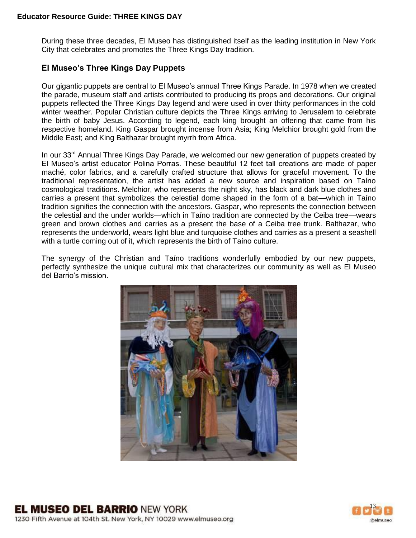During these three decades, El Museo has distinguished itself as the leading institution in New York City that celebrates and promotes the Three Kings Day tradition.

## **El Museo's Three Kings Day Puppets**

Our gigantic puppets are central to El Museo's annual Three Kings Parade. In 1978 when we created the parade, museum staff and artists contributed to producing its props and decorations. Our original puppets reflected the Three Kings Day legend and were used in over thirty performances in the cold winter weather. Popular Christian culture depicts the Three Kings arriving to Jerusalem to celebrate the birth of baby Jesus. According to legend, each king brought an offering that came from his respective homeland. King Gaspar brought incense from Asia; King Melchior brought gold from the Middle East; and King Balthazar brought myrrh from Africa.

In our  $33<sup>rd</sup>$  Annual Three Kings Day Parade, we welcomed our new generation of puppets created by El Museo's artist educator Polina Porras. These beautiful 12 feet tall creations are made of paper maché, color fabrics, and a carefully crafted structure that allows for graceful movement. To the traditional representation, the artist has added a new source and inspiration based on Taíno cosmological traditions. Melchior, who represents the night sky, has black and dark blue clothes and carries a present that symbolizes the celestial dome shaped in the form of a bat—which in Taíno tradition signifies the connection with the ancestors. Gaspar, who represents the connection between the celestial and the under worlds—which in Taíno tradition are connected by the Ceiba tree—wears green and brown clothes and carries as a present the base of a Ceiba tree trunk. Balthazar, who represents the underworld, wears light blue and turquoise clothes and carries as a present a seashell with a turtle coming out of it, which represents the birth of Taíno culture.

The synergy of the Christian and Taíno traditions wonderfully embodied by our new puppets, perfectly synthesize the unique cultural mix that characterizes our community as well as El Museo del Barrio's mission.



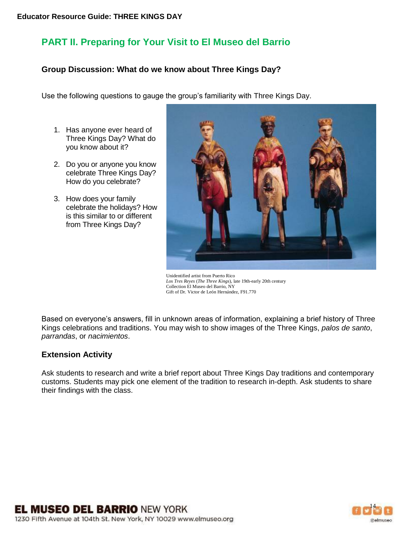# **PART II. Preparing for Your Visit to El Museo del Barrio**

# **Group Discussion: What do we know about Three Kings Day?**

Use the following questions to gauge the group's familiarity with Three Kings Day.

- 1. Has anyone ever heard of Three Kings Day? What do you know about it?
- 2. Do you or anyone you know celebrate Three Kings Day? How do you celebrate?
- 3. How does your family celebrate the holidays? How is this similar to or different from Three Kings Day?



Unidentified artist from Puerto Rico *Los Tres Reyes* (*The Three Kings*), late 19th-early 20th century Collection El Museo del Barrio, NY Gift of Dr. Victor de León Hernández, F91.770

Based on everyone's answers, fill in unknown areas of information, explaining a brief history of Three Kings celebrations and traditions. You may wish to show images of the Three Kings, *palos de santo*, *parrandas*, or *nacimientos*.

# **Extension Activity**

Ask students to research and write a brief report about Three Kings Day traditions and contemporary customs. Students may pick one element of the tradition to research in-depth. Ask students to share their findings with the class.

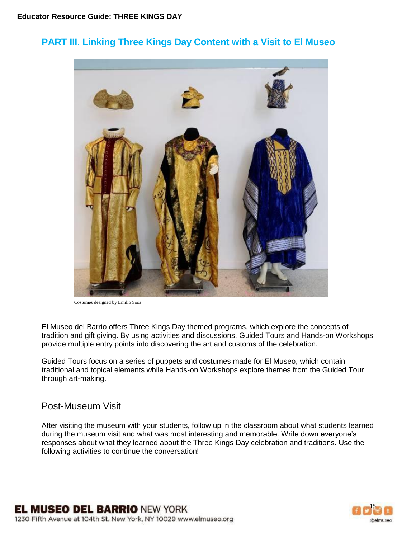# **PART III. Linking Three Kings Day Content with a Visit to El Museo**



Costumes designed by Emilio Sosa

El Museo del Barrio offers Three Kings Day themed programs, which explore the concepts of tradition and gift giving. By using activities and discussions, Guided Tours and Hands-on Workshops provide multiple entry points into discovering the art and customs of the celebration.

Guided Tours focus on a series of puppets and costumes made for El Museo, which contain traditional and topical elements while Hands-on Workshops explore themes from the Guided Tour through art-making.

# Post-Museum Visit

After visiting the museum with your students, follow up in the classroom about what students learned during the museum visit and what was most interesting and memorable. Write down everyone's responses about what they learned about the Three Kings Day celebration and traditions. Use the following activities to continue the conversation!

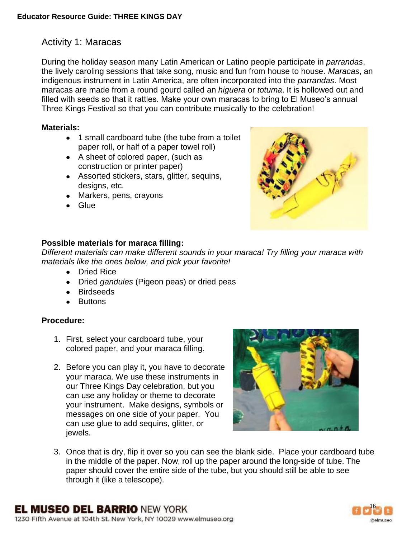During the holiday season many Latin American or Latino people participate in *parrandas*, the lively caroling sessions that take song, music and fun from house to house. *Maracas*, an indigenous instrument in Latin America, are often incorporated into the *parrandas*. Most maracas are made from a round gourd called an *higuera* or *totuma*. It is hollowed out and filled with seeds so that it rattles. Make your own maracas to bring to El Museo's annual Three Kings Festival so that you can contribute musically to the celebration!

# **Materials:**

- 1 small cardboard tube (the tube from a toilet paper roll, or half of a paper towel roll)
- A sheet of colored paper, (such as construction or printer paper)
- Assorted stickers, stars, glitter, sequins, designs, etc.
- Markers, pens, crayons
- **Glue**



# **Possible materials for maraca filling:**

*Different materials can make different sounds in your maraca! Try filling your maraca with materials like the ones below, and pick your favorite!*

- Dried Rice
- Dried *gandules* (Pigeon peas) or dried peas
- Birdseeds
- Buttons

# **Procedure:**

- 1. First, select your cardboard tube, your colored paper, and your maraca filling.
- 2. Before you can play it, you have to decorate your maraca. We use these instruments in our Three Kings Day celebration, but you can use any holiday or theme to decorate your instrument. Make designs, symbols or messages on one side of your paper. You can use glue to add sequins, glitter, or jewels.



3. Once that is dry, flip it over so you can see the blank side. Place your cardboard tube in the middle of the paper. Now, roll up the paper around the long-side of tube. The paper should cover the entire side of the tube, but you should still be able to see through it (like a telescope).

**EL MUSEO DEL BARRIO NEW YORK** 

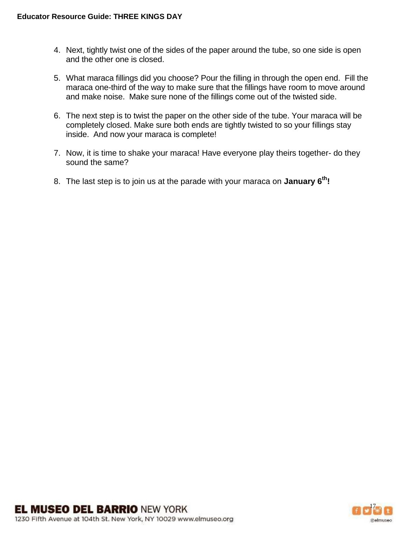- 4. Next, tightly twist one of the sides of the paper around the tube, so one side is open and the other one is closed.
- 5. What maraca fillings did you choose? Pour the filling in through the open end. Fill the maraca one-third of the way to make sure that the fillings have room to move around and make noise. Make sure none of the fillings come out of the twisted side.
- 6. The next step is to twist the paper on the other side of the tube. Your maraca will be completely closed. Make sure both ends are tightly twisted to so your fillings stay inside. And now your maraca is complete!
- 7. Now, it is time to shake your maraca! Have everyone play theirs together- do they sound the same?
- 8. The last step is to join us at the parade with your maraca on **January 6th!**

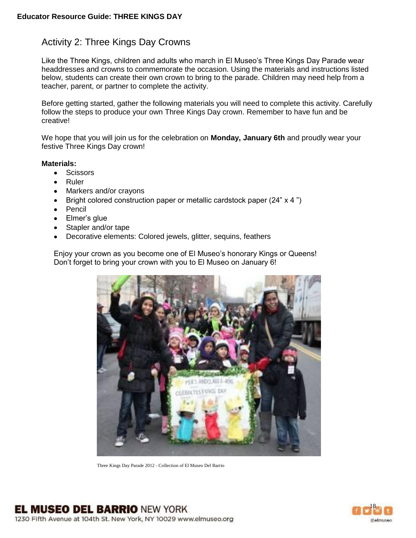# Activity 2: Three Kings Day Crowns

Like the Three Kings, children and adults who march in El Museo's Three Kings Day Parade wear headdresses and crowns to commemorate the occasion. Using the materials and instructions listed below, students can create their own crown to bring to the parade. Children may need help from a teacher, parent, or partner to complete the activity.

Before getting started, gather the following materials you will need to complete this activity. Carefully follow the steps to produce your own Three Kings Day crown. Remember to have fun and be creative!

We hope that you will join us for the celebration on **Monday, January 6th** and proudly wear your festive Three Kings Day crown!

#### **Materials:**

- **•** Scissors
- Ruler
- Markers and/or crayons
- Bright colored construction paper or metallic cardstock paper (24" x 4")  $\bullet$
- $\bullet$ Pencil
- $\bullet$ Elmer's glue
- Stapler and/or tape
- Decorative elements: Colored jewels, glitter, sequins, feathers

Enjoy your crown as you become one of El Museo's honorary Kings or Queens! Don't forget to bring your crown with you to El Museo on January 6!



Three Kings Day Parade 2012 - Collection of El Museo Del Barrio

**EL MUSEO DEL BARRIO NEW YORK** 1230 Fifth Avenue at 104th St. New York, NY 10029 www.elmuseo.org

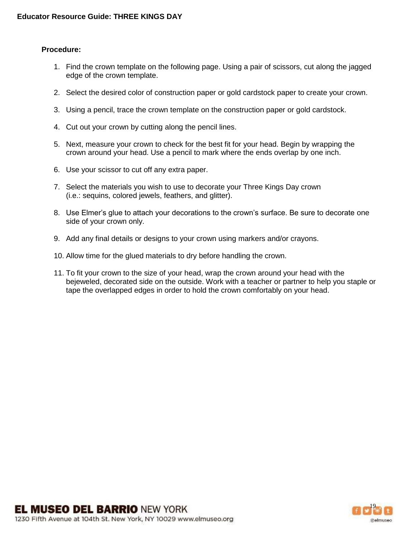#### **Procedure:**

- 1. Find the crown template on the following page. Using a pair of scissors, cut along the jagged edge of the crown template.
- 2. Select the desired color of construction paper or gold cardstock paper to create your crown.
- 3. Using a pencil, trace the crown template on the construction paper or gold cardstock.
- 4. Cut out your crown by cutting along the pencil lines.
- 5. Next, measure your crown to check for the best fit for your head. Begin by wrapping the crown around your head. Use a pencil to mark where the ends overlap by one inch.
- 6. Use your scissor to cut off any extra paper.
- 7. Select the materials you wish to use to decorate your Three Kings Day crown (i.e.: sequins, colored jewels, feathers, and glitter).
- 8. Use Elmer's glue to attach your decorations to the crown's surface. Be sure to decorate one side of your crown only.
- 9. Add any final details or designs to your crown using markers and/or crayons.
- 10. Allow time for the glued materials to dry before handling the crown.
- 11. To fit your crown to the size of your head, wrap the crown around your head with the bejeweled, decorated side on the outside. Work with a teacher or partner to help you staple or tape the overlapped edges in order to hold the crown comfortably on your head.

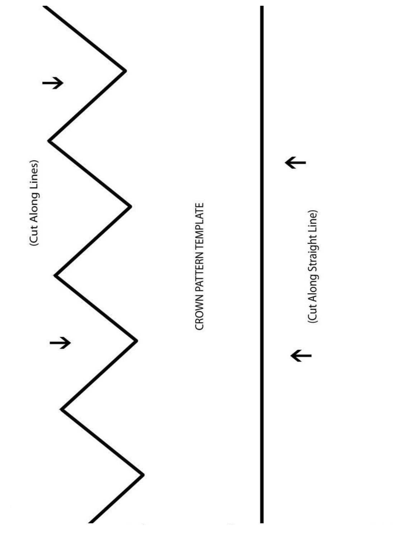



 $\leftarrow$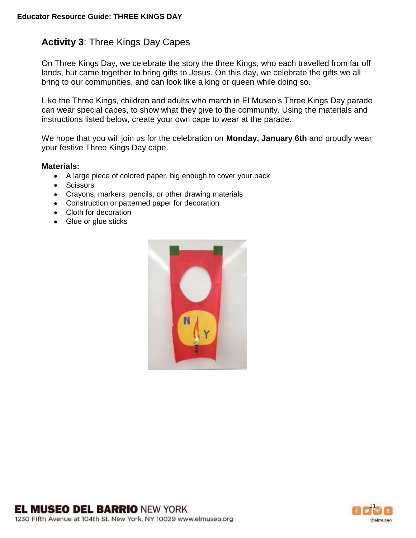# **Activity 3**: Three Kings Day Capes

On Three Kings Day, we celebrate the story the three Kings, who each travelled from far off lands, but came together to bring gifts to Jesus. On this day, we celebrate the gifts we all bring to our communities, and can look like a king or queen while doing so.

Like the Three Kings, children and adults who march in El Museo's Three Kings Day parade can wear special capes, to show what they give to the community. Using the materials and instructions listed below, create your own cape to wear at the parade.

We hope that you will join us for the celebration on **Monday, January 6th** and proudly wear your festive Three Kings Day cape.

#### **Materials:**

- A large piece of colored paper, big enough to cover your back
- Scissors
- Crayons, markers, pencils, or other drawing materials
- Construction or patterned paper for decoration
- Cloth for decoration
- Glue or glue sticks



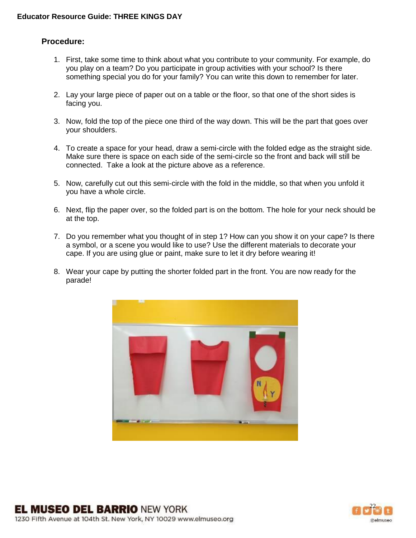## **Procedure:**

- 1. First, take some time to think about what you contribute to your community. For example, do you play on a team? Do you participate in group activities with your school? Is there something special you do for your family? You can write this down to remember for later.
- 2. Lay your large piece of paper out on a table or the floor, so that one of the short sides is facing you.
- 3. Now, fold the top of the piece one third of the way down. This will be the part that goes over your shoulders.
- 4. To create a space for your head, draw a semi-circle with the folded edge as the straight side. Make sure there is space on each side of the semi-circle so the front and back will still be connected. Take a look at the picture above as a reference.
- 5. Now, carefully cut out this semi-circle with the fold in the middle, so that when you unfold it you have a whole circle.
- 6. Next, flip the paper over, so the folded part is on the bottom. The hole for your neck should be at the top.
- 7. Do you remember what you thought of in step 1? How can you show it on your cape? Is there a symbol, or a scene you would like to use? Use the different materials to decorate your cape. If you are using glue or paint, make sure to let it dry before wearing it!
- 8. Wear your cape by putting the shorter folded part in the front. You are now ready for the parade!



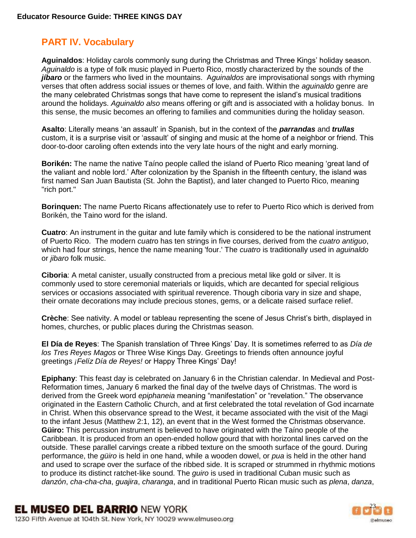# **PART IV. Vocabulary**

**Aguinaldos**: Holiday carols commonly sung during the Christmas and Three Kings' holiday season. *Aguinaldo* is a type of folk music played in Puerto Rico, mostly characterized by the sounds of the *jíbaro* or the farmers who lived in the mountains. A*guinaldos* are improvisational songs with rhyming verses that often address social issues or themes of love, and faith. Within the *aguinaldo* genre are the many celebrated Christmas songs that have come to represent the island's musical traditions around the holidays. *Aguinaldo also* means offering or gift and is associated with a holiday bonus. In this sense, the music becomes an offering to families and communities during the holiday season.

**Asalto**: Literally means 'an assault' in Spanish, but in the context of the *parrandas* and *trullas*  custom, it is a surprise visit or 'assault' of singing and music at the home of a neighbor or friend. This door-to-door caroling often extends into the very late hours of the night and early morning.

**Borikén:** The name the native Taíno people called the island of Puerto Rico meaning 'great land of the valiant and noble lord.' After colonization by the Spanish in the fifteenth century, the island was first named San Juan Bautista (St. John the Baptist), and later changed to Puerto Rico, meaning "rich port."

**Borinquen:** The name Puerto Ricans affectionately use to refer to Puerto Rico which is derived from Borikén, the Taino word for the island.

**Cuatro**: An instrument in the guitar and lute family which is considered to be the national instrument of Puerto Rico. The modern *cuatr*o has ten strings in five courses, derived from the *cuatro antiguo*, which had four strings, hence the name meaning 'four.' The *cuatro* is traditionally used in *aguinaldo* or *jibaro* folk music.

**Ciboria**: A metal canister, usually constructed from a precious metal like gold or silver. It is commonly used to store ceremonial materials or liquids, which are decanted for special religious services or occasions associated with spiritual reverence. Though ciboria vary in size and shape, their ornate decorations may include precious stones, gems, or a delicate raised surface relief.

**Crèche**: See nativity. A model or tableau representing the scene of Jesus Christ's birth, displayed in homes, churches, or public places during the Christmas season.

**El Día de Reyes**: The Spanish translation of Three Kings' Day. It is sometimes referred to as *Día de los Tres Reyes Magos* or Three Wise Kings Day. Greetings to friends often announce joyful greetings *¡Felíz Día de Reyes!* or Happy Three Kings' Day!

**Epiphany**: This feast day is celebrated on January 6 in the Christian calendar. In Medieval and Post-Reformation times, January 6 marked the final day of the twelve days of Christmas. The word is derived from the Greek word *epiphaneia* meaning "manifestation" or "revelation." The observance originated in the Eastern Catholic Church, and at first celebrated the total revelation of God incarnate in Christ. When this observance spread to the West, it became associated with the visit of the Magi to the infant Jesus (Matthew 2:1, 12), an event that in the West formed the Christmas observance. **Güiro:** This percussion instrument is believed to have originated with the Taíno people of the Caribbean. It is produced from an open-ended hollow gourd that with horizontal lines carved on the outside. These parallel carvings create a ribbed texture on the smooth surface of the gourd. During performance, the *güiro* is held in one hand, while a wooden dowel, or *pua* is held in the other hand and used to scrape over the surface of the ribbed side. It is scraped or strummed in rhythmic motions to produce its distinct ratchet-like sound. The *guiro* is used in traditional Cuban music such as *danzón*, *cha-cha-cha*, *guajira*, *charanga*, and in traditional Puerto Rican music such as *plena*, *danza*,

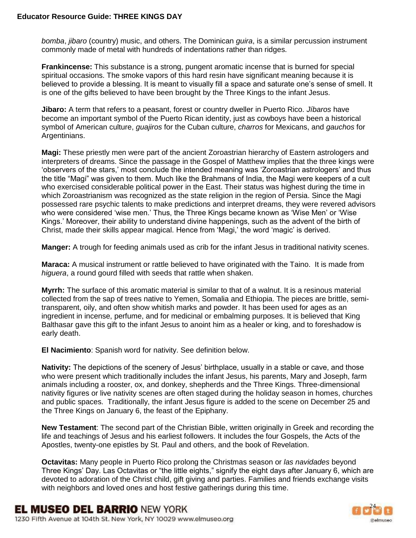*bomba*, *jibaro* (country) music, and others. The Dominican *guira*, is a similar percussion instrument commonly made of metal with hundreds of indentations rather than ridges.

**Frankincense:** This substance is a strong, pungent aromatic incense that is burned for special spiritual occasions. The smoke vapors of this hard resin have significant meaning because it is believed to provide a blessing. It is meant to visually fill a space and saturate one's sense of smell. It is one of the gifts believed to have been brought by the Three Kings to the infant Jesus.

**Jibaro:** A term that refers to a peasant, forest or country dweller in Puerto Rico. *Jíbaros* have become an important symbol of the Puerto Rican identity, just as cowboys have been a historical symbol of American culture, *guajiros* for the Cuban culture, *charros* for Mexicans, and *gauchos* for Argentinians.

**Magi:** These priestly men were part of the ancient Zoroastrian hierarchy of Eastern astrologers and interpreters of dreams. Since the passage in the Gospel of Matthew implies that the three kings were 'observers of the stars,' most conclude the intended meaning was 'Zoroastrian astrologers' and thus the title "Magi" was given to them. Much like the Brahmans of India, the Magi were keepers of a cult who exercised considerable political power in the East. Their status was highest during the time in which Zoroastrianism was recognized as the state religion in the region of Persia. Since the Magi possessed rare psychic talents to make predictions and interpret dreams, they were revered advisors who were considered 'wise men.' Thus, the Three Kings became known as 'Wise Men' or 'Wise Kings.' Moreover, their ability to understand divine happenings, such as the advent of the birth of Christ, made their skills appear magical. Hence from 'Magi,' the word 'magic' is derived.

**Manger:** A trough for feeding animals used as crib for the infant Jesus in traditional nativity scenes.

**Maraca:** A musical instrument or rattle believed to have originated with the Taino. It is made from *higuera*, a round gourd filled with seeds that rattle when shaken.

**Myrrh:** The surface of this aromatic material is similar to that of a walnut. It is a resinous material collected from the sap of trees native to Yemen, Somalia and Ethiopia. The pieces are brittle, semitransparent, oily, and often show whitish marks and powder. It has been used for ages as an ingredient in incense, perfume, and for medicinal or embalming purposes. It is believed that King Balthasar gave this gift to the infant Jesus to anoint him as a healer or king, and to foreshadow is early death.

**El Nacimiento**: Spanish word for nativity. See definition below.

**Nativity:** The depictions of the scenery of Jesus' birthplace, usually in a stable or cave, and those who were present which traditionally includes the infant Jesus, his parents, Mary and Joseph, farm animals including a rooster, ox, and donkey, shepherds and the Three Kings. Three-dimensional nativity figures or live nativity scenes are often staged during the holiday season in homes, churches and public spaces. Traditionally, the infant Jesus figure is added to the scene on December 25 and the Three Kings on January 6, the feast of the Epiphany.

**New Testament**: The second part of the Christian Bible, written originally in Greek and recording the life and teachings of Jesus and his earliest followers. It includes the four Gospels, the Acts of the Apostles, twenty-one epistles by St. Paul and others, and the book of Revelation.

**Octavitas:** Many people in Puerto Rico prolong the Christmas season or *las navidades* beyond Three Kings' Day. Las Octavitas or "the little eights," signify the eight days after January 6, which are devoted to adoration of the Christ child, gift giving and parties. Families and friends exchange visits with neighbors and loved ones and host festive gatherings during this time.

**EL MUSEO DEL BARRIO NEW YORK** 1230 Fifth Avenue at 104th St. New York, NY 10029 www.elmuseo.org

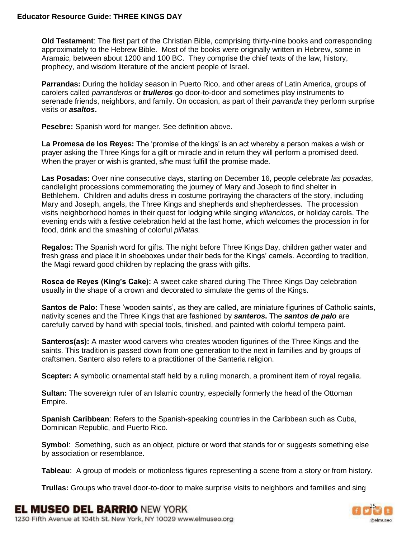**Old Testament**: The first part of the Christian Bible, comprising thirty-nine books and corresponding approximately to the Hebrew Bible. Most of the books were originally written in Hebrew, some in Aramaic, between about 1200 and 100 BC. They comprise the chief texts of the law, history, prophecy, and wisdom literature of the ancient people of Israel.

**Parrandas:** During the holiday season in Puerto Rico, and other areas of Latin America, groups of carolers called *parranderos* or *trulleros* go door-to-door and sometimes play instruments to serenade friends, neighbors, and family. On occasion, as part of their *parranda* they perform surprise visits or *asaltos***.**

**Pesebre:** Spanish word for manger. See definition above.

**La Promesa de los Reyes:** The 'promise of the kings' is an act whereby a person makes a wish or prayer asking the Three Kings for a gift or miracle and in return they will perform a promised deed. When the prayer or wish is granted, s/he must fulfill the promise made.

**Las Posadas:** Over nine consecutive days, starting on December 16, people celebrate *las posadas*, candlelight processions commemorating the journey of Mary and Joseph to find shelter in Bethlehem. Children and adults dress in costume portraying the characters of the story, including Mary and Joseph, angels, the Three Kings and shepherds and shepherdesses. The procession visits neighborhood homes in their quest for lodging while singing *villancicos*, or holiday carols. The evening ends with a festive celebration held at the last home, which welcomes the procession in for food, drink and the smashing of colorful *piñatas.*

**Regalos:** The Spanish word for gifts. The night before Three Kings Day, children gather water and fresh grass and place it in shoeboxes under their beds for the Kings' camels. According to tradition, the Magi reward good children by replacing the grass with gifts.

**Rosca de Reyes (King's Cake):** A sweet cake shared during The Three Kings Day celebration usually in the shape of a crown and decorated to simulate the gems of the Kings.

**Santos de Palo:** These 'wooden saints', as they are called, are miniature figurines of Catholic saints, nativity scenes and the Three Kings that are fashioned by *santeros***.** The *santos de palo* are carefully carved by hand with special tools, finished, and painted with colorful tempera paint.

**Santeros(as):** A master wood carvers who creates wooden figurines of the Three Kings and the saints. This tradition is passed down from one generation to the next in families and by groups of craftsmen. Santero also refers to a practitioner of the Santeria religion.

**Scepter:** A symbolic ornamental staff held by a ruling monarch, a prominent item of royal regalia.

**Sultan:** The sovereign ruler of an Islamic country, especially formerly the head of the Ottoman Empire.

**Spanish Caribbean**: Refers to the Spanish-speaking countries in the Caribbean such as Cuba, Dominican Republic, and Puerto Rico.

**Symbol**: Something, such as an object, picture or word that stands for or suggests something else by association or resemblance.

**Tableau**: A group of models or motionless figures representing a scene from a story or from history.

**Trullas:** Groups who travel door-to-door to make surprise visits to neighbors and families and sing

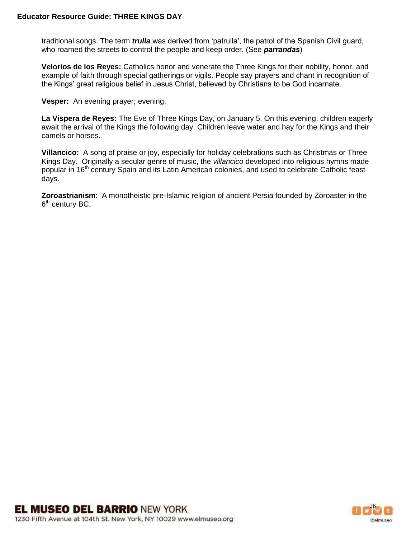traditional songs. The term *trulla* was derived from 'patrulla', the patrol of the Spanish Civil guard, who roamed the streets to control the people and keep order. (See *parrandas*)

**Velorios de los Reyes:** Catholics honor and venerate the Three Kings for their nobility, honor, and example of faith through special gatherings or vigils. People say prayers and chant in recognition of the Kings' great religious belief in Jesus Christ, believed by Christians to be God incarnate.

**Vesper:** An evening prayer; evening.

**La Vispera de Reyes:** The Eve of Three Kings Day, on January 5. On this evening, children eagerly await the arrival of the Kings the following day. Children leave water and hay for the Kings and their camels or horses.

**Villancico:** A song of praise or joy, especially for holiday celebrations such as Christmas or Three Kings Day. Originally a secular genre of music, the *villancico* developed into religious hymns made popular in 16<sup>th</sup> century Spain and its Latin American colonies, and used to celebrate Catholic feast days.

**Zoroastrianism**: A monotheistic pre-Islamic religion of ancient Persia founded by Zoroaster in the 6<sup>th</sup> century BC.

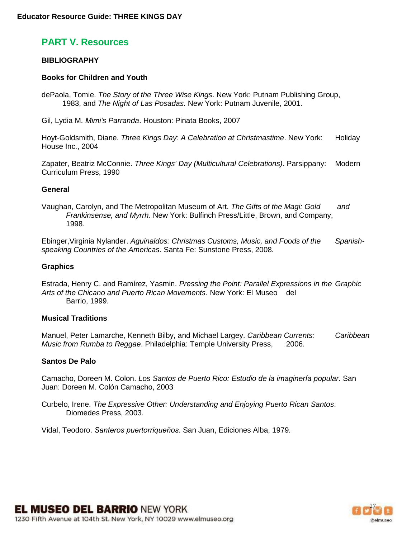# **PART V. Resources**

#### **BIBLIOGRAPHY**

#### **Books for Children and Youth**

dePaola, Tomie. *The Story of the Three Wise Kings*. New York: Putnam Publishing Group, 1983, and *The Night of Las Posadas*. New York: Putnam Juvenile, 2001.

Gil, Lydia M. *Mimi's Parranda*. Houston: Pinata Books, 2007

Hoyt-Goldsmith, Diane. *Three Kings Day: A Celebration at Christmastime*. New York: Holiday House Inc., 2004

Zapater, Beatriz McConnie. *Three Kings' Day (Multicultural Celebrations)*. Parsippany: Modern Curriculum Press, 1990

#### **General**

Vaughan, Carolyn, and The Metropolitan Museum of Art. *The Gifts of the Magi: Gold and Frankinsense, and Myrrh*. New York: Bulfinch Press/Little, Brown, and Company, 1998.

Ebinger,Virginia Nylander. *Aguinaldos: Christmas Customs, Music, and Foods of the Spanishspeaking Countries of the Americas*. Santa Fe: Sunstone Press, 2008.

#### **Graphics**

Estrada, Henry C. and Ramírez, Yasmin. *Pressing the Point: Parallel Expressions in the Graphic Arts of the Chicano and Puerto Rican Movements*. New York: El Museo del Barrio, 1999.

#### **Musical Traditions**

Manuel, Peter Lamarche, Kenneth Bilby, and Michael Largey. *Caribbean Currents: Caribbean Music from Rumba to Reggae*. Philadelphia: Temple University Press, 2006.

#### **Santos De Palo**

Camacho, Doreen M. Colon. *Los Santos de Puerto Rico: Estudio de la imaginería popular*. San Juan: Doreen M. Colón Camacho, 2003

Curbelo, Irene. *The Expressive Other: Understanding and Enjoying Puerto Rican Santos*. Diomedes Press, 2003.

Vidal, Teodoro. *Santeros puertorriqueňos*. San Juan, Ediciones Alba, 1979.

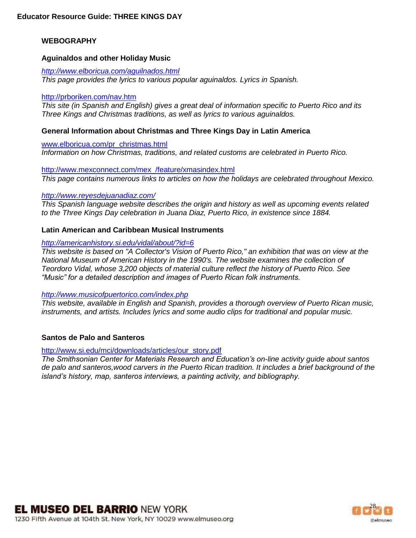## **WEBOGRAPHY**

#### **Aguinaldos and other Holiday Music**

*<http://www.elboricua.com/aguilnados.html> This page provides the lyrics to various popular aguinaldos. Lyrics in Spanish.*

#### <http://prboriken.com/nav.htm>

*This site (in Spanish and English) gives a great deal of information specific to Puerto Rico and its Three Kings and Christmas traditions, as well as lyrics to various aguinaldos.*

#### **General Information about Christmas and Three Kings Day in Latin America**

[www.elboricua.com/pr\\_christmas.html](http://www.elboricua.com/pr_christmas.html) *Information on how Christmas, traditions, and related customs are celebrated in Puerto Rico.* 

[http://www.mexconnect.com/mex\\_/feature/xmasindex.html](http://www.mexconnect.com/mex_/feature/xmasindex.html) *This page contains numerous links to articles on how the holidays are celebrated throughout Mexico.*

#### *<http://www.reyesdejuanadiaz.com/>*

*This Spanish language website describes the origin and history as well as upcoming events related to the Three Kings Day celebration in Juana Diaz, Puerto Rico, in existence since 1884.* 

#### **Latin American and Caribbean Musical Instruments**

#### *<http://americanhistory.si.edu/vidal/about/?id=6>*

*This website is based on "A Collector's Vision of Puerto Rico," an exhibition that was on view at the National Museum of American History in the 1990's. The website examines the collection of Teordoro Vidal, whose 3,200 objects of material culture reflect the history of Puerto Rico. See "Music" for a detailed description and images of Puerto Rican folk instruments.* 

#### *<http://www.musicofpuertorico.com/index.php>*

*This website, available in English and Spanish, provides a thorough overview of Puerto Rican music, instruments, and artists. Includes lyrics and some audio clips for traditional and popular music.* 

#### **Santos de Palo and Santeros**

#### [http://www.si.edu/mci/downloads/articles/our\\_story.pdf](http://www.si.edu/mci/downloads/articles/our_story.pdf)

*The Smithsonian Center for Materials Research and Education's on-line activity guide about santos de palo and santeros,wood carvers in the Puerto Rican tradition. It includes a brief background of the island's history, map, santeros interviews, a painting activity, and bibliography.*